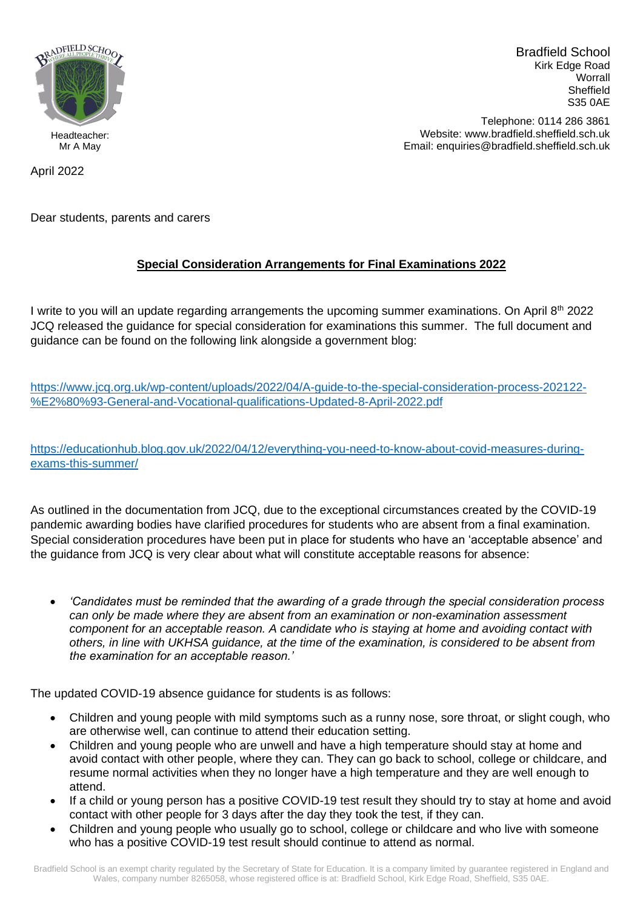

Bradfield School Kirk Edge Road **Worrall** Sheffield S35 0AE

Telephone: 0114 286 3861 Website: www.bradfield.sheffield.sch.uk Email: enquiries@bradfield.sheffield.sch.uk

April 2022

Dear students, parents and carers

## **Special Consideration Arrangements for Final Examinations 2022**

I write to you will an update regarding arrangements the upcoming summer examinations. On April 8<sup>th</sup> 2022 JCQ released the guidance for special consideration for examinations this summer. The full document and guidance can be found on the following link alongside a government blog:

[https://www.jcq.org.uk/wp-content/uploads/2022/04/A-guide-to-the-special-consideration-process-202122-](https://www.jcq.org.uk/wp-content/uploads/2022/04/A-guide-to-the-special-consideration-process-202122-%E2%80%93-General-and-Vocational-qualifications-Updated-8-April-2022.pdf) [%E2%80%93-General-and-Vocational-qualifications-Updated-8-April-2022.pdf](https://www.jcq.org.uk/wp-content/uploads/2022/04/A-guide-to-the-special-consideration-process-202122-%E2%80%93-General-and-Vocational-qualifications-Updated-8-April-2022.pdf)

[https://educationhub.blog.gov.uk/2022/04/12/everything-you-need-to-know-about-covid-measures-during](https://educationhub.blog.gov.uk/2022/04/12/everything-you-need-to-know-about-covid-measures-during-exams-this-summer/)[exams-this-summer/](https://educationhub.blog.gov.uk/2022/04/12/everything-you-need-to-know-about-covid-measures-during-exams-this-summer/)

As outlined in the documentation from JCQ, due to the exceptional circumstances created by the COVID-19 pandemic awarding bodies have clarified procedures for students who are absent from a final examination. Special consideration procedures have been put in place for students who have an 'acceptable absence' and the guidance from JCQ is very clear about what will constitute acceptable reasons for absence:

• *'Candidates must be reminded that the awarding of a grade through the special consideration process can only be made where they are absent from an examination or non-examination assessment component for an acceptable reason. A candidate who is staying at home and avoiding contact with others, in line with UKHSA guidance, at the time of the examination, is considered to be absent from the examination for an acceptable reason.'*

The updated COVID-19 absence guidance for students is as follows:

- Children and young people with mild symptoms such as a runny nose, sore throat, or slight cough, who are otherwise well, can continue to attend their education setting.
- Children and young people who are unwell and have a high temperature should stay at home and avoid contact with other people, where they can. They can go back to school, college or childcare, and resume normal activities when they no longer have a high temperature and they are well enough to attend.
- If a child or young person has a positive COVID-19 test result they should try to stay at home and avoid contact with other people for 3 days after the day they took the test, if they can.
- Children and young people who usually go to school, college or childcare and who live with someone who has a positive COVID-19 test result should continue to attend as normal.